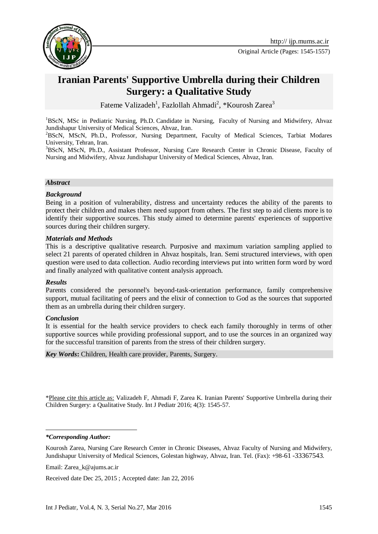

# **Iranian Parents' Supportive Umbrella during their Children Surgery: a Qualitative Study**

Fateme Valizadeh<sup>1</sup>, Fazlollah Ahmadi<sup>2</sup>, \*Kourosh Zarea<sup>3</sup>

<sup>1</sup>BScN, MSc in Pediatric Nursing, Ph.D. Candidate in Nursing, Faculty of Nursing and Midwifery, Ahvaz Jundishapur University of Medical Sciences, Ahvaz, Iran.

<sup>2</sup>BScN, MScN, Ph.D., Professor, Nursing Department, Faculty of Medical Sciences, Tarbiat Modares University, Tehran, Iran.

<sup>3</sup>BScN, MScN, Ph.D., Assistant Professor, Nursing Care Research Center in Chronic Disease, Faculty of Nursing and Midwifery, Ahvaz Jundishapur University of Medical Sciences, Ahvaz, Iran.

#### *Abstract*

#### *Background*

Being in a position of vulnerability, distress and uncertainty reduces the ability of the parents to protect their children and makes them need support from others. The first step to aid clients more is to identify their supportive sources. This study aimed to determine parents' experiences of supportive sources during their children surgery.

#### *Materials and Methods*

This is a descriptive qualitative research. Purposive and maximum variation sampling applied to select 21 parents of operated children in Ahvaz hospitals, Iran. Semi structured interviews, with open question were used to data collection. Audio recording interviews put into written form word by word and finally analyzed with qualitative content analysis approach.

#### *Results*

Parents considered the personnel's beyond-task-orientation performance, family comprehensive support, mutual facilitating of peers and the elixir of connection to God as the sources that supported them as an umbrella during their children surgery.

#### *Conclusion*

It is essential for the health service providers to check each family thoroughly in terms of other supportive sources while providing professional support, and to use the sources in an organized way for the successful transition of parents from the stress of their children surgery.

*Key Words***:** Children, Health care provider, Parents, Surgery.

\*Please cite this article as: Valizadeh F, Ahmadi F, Zarea K. Iranian Parents' Supportive Umbrella during their Children Surgery: a Qualitative Study. Int J Pediatr 2016; 4(3): 1545-57.

*\*Corresponding Author:*

-

Kourosh Zarea, Nursing Care Research Center in Chronic Diseases, Ahvaz Faculty of Nursing and Midwifery, Jundishapur University of Medical Sciences, Golestan highway, Ahvaz, Iran. Tel. (Fax): +98-61 -33367543.

Email: [Zarea\\_k@ajums.ac.ir](mailto:Zarea_k@ajums.ac.ir)

Received date Dec 25, 2015 ; Accepted date: Jan 22, 2016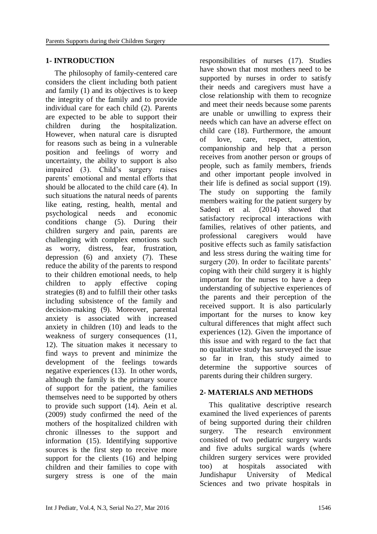# **1- INTRODUCTION**

The philosophy of family-centered care considers the client including both patient and family (1) and its objectives is to keep the integrity of the family and to provide individual care for each child (2). Parents are expected to be able to support their children during the hospitalization. However, when natural care is disrupted for reasons such as being in a vulnerable position and feelings of worry and uncertainty, the ability to support is also impaired (3). Child's surgery raises parents' emotional and mental efforts that should be allocated to the child care (4). In such situations the natural needs of parents like eating, resting, health, mental and psychological needs and economic conditions change (5). During their children surgery and pain, parents are challenging with complex emotions such as worry, distress, fear, frustration, depression (6) and anxiety (7). These reduce the ability of the parents to respond to their children emotional needs, to help children to apply effective coping strategies (8) and to fulfill their other tasks including subsistence of the family and decision-making (9). Moreover, parental anxiety is associated with increased anxiety in children (10) and leads to the weakness of surgery consequences (11, 12). The situation makes it necessary to find ways to prevent and minimize the development of the feelings towards negative experiences (13). In other words, although the family is the primary source of support for the patient, the families themselves need to be supported by others to provide such support (14). Aein et al. (2009) study confirmed the need of the mothers of the hospitalized children with chronic illnesses to the support and information (15). Identifying supportive sources is the first step to receive more support for the clients (16) and helping children and their families to cope with surgery stress is one of the main

responsibilities of nurses (17). Studies have shown that most mothers need to be supported by nurses in order to satisfy their needs and caregivers must have a close relationship with them to recognize and meet their needs because some parents are unable or unwilling to express their needs which can have an adverse effect on child care (18). Furthermore, the amount of love, care, respect, attention, companionship and help that a person receives from another person or groups of people, such as family members, friends and other important people involved in their life is defined as social support (19). The study on supporting the family members waiting for the patient surgery by Sadeqi et al. (2014) showed that satisfactory reciprocal interactions with families, relatives of other patients, and professional caregivers would have positive effects such as family satisfaction and less stress during the waiting time for surgery (20). In order to facilitate parents' coping with their child surgery it is highly important for the nurses to have a deep understanding of subjective experiences of the parents and their perception of the received support. It is also particularly important for the nurses to know key cultural differences that might affect such experiences (12). Given the importance of this issue and with regard to the fact that no qualitative study has surveyed the issue so far in Iran, this study aimed to determine the supportive sources of parents during their children surgery.

# **2- MATERIALS AND METHODS**

 This qualitative descriptive research examined the lived experiences of parents of being supported during their children surgery. The research environment consisted of two pediatric surgery wards and five adults surgical wards (where children surgery services were provided too) at hospitals associated with Jundishapur University of Medical Sciences and two private hospitals in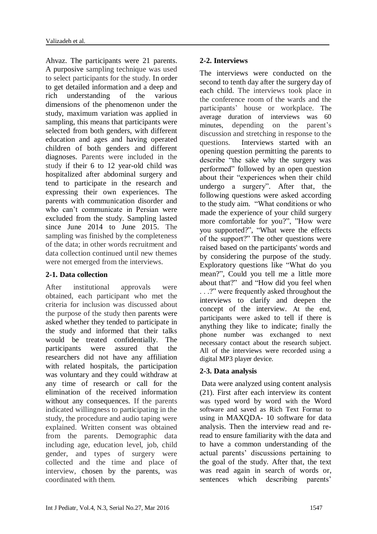Ahvaz. The participants were 21 parents. A purposive sampling technique was used to select participants for the study. In order to get detailed information and a deep and rich understanding of the various dimensions of the phenomenon under the study, maximum variation was applied in sampling, this means that participants were selected from both genders, with different education and ages and having operated children of both genders and different diagnoses. Parents were included in the study if their 6 to 12 year-old child was hospitalized after abdominal surgery and tend to participate in the research and expressing their own experiences. The parents with communication disorder and who can't communicate in Persian were excluded from the study. Sampling lasted since June 2014 to June 2015. The sampling was finished by the completeness of the data; in other words recruitment and data collection continued until new themes were not emerged from the interviews.

# **2-1. Data collection**

After institutional approvals were obtained, each participant who met the criteria for inclusion was discussed about the purpose of the study then parents were asked whether they tended to participate in the study and informed that their talks would be treated confidentially. The participants were assured that the researchers did not have any affiliation with related hospitals, the participation was voluntary and they could withdraw at any time of research or call for the elimination of the received information without any consequences. If the parents indicated willingness to participating in the study, the procedure and audio taping were explained. Written consent was obtained from the parents. Demographic data including age, education level, job, child gender, and types of surgery were collected and the time and place of interview, chosen by the parents, was coordinated with them.

# **2-2. Interviews**

The interviews were conducted on the second to tenth day after the surgery day of each child. The interviews took place in the conference room of the wards and the participants' house or workplace. The average duration of interviews was 60 minutes, depending on the parent's discussion and stretching in response to the questions. Interviews started with an opening question permitting the parents to describe "the sake why the surgery was performed" followed by an open question about their "experiences when their child undergo a surgery". After that, the following questions were asked according to the study aim. "What conditions or who made the experience of your child surgery more comfortable for you?", "How were you supported?", "What were the effects of the support?" The other questions were raised based on the participants' words and by considering the purpose of the study. Exploratory questions like "What do you mean?", Could you tell me a little more about that?" and "How did you feel when . . .?" were frequently asked throughout the interviews to clarify and deepen the concept of the interview. At the end, participants were asked to tell if there is anything they like to indicate; finally the phone number was exchanged to next necessary contact about the research subject. All of the interviews were recorded using a digital MP3 player device.

# **2-3. Data analysis**

Data were analyzed using content analysis (21). First after each interview its content was typed word by word with the Word software and saved as Rich Text Format to using in MAXQDA- 10 software for data analysis. Then the interview read and reread to ensure familiarity with the data and to have a common understanding of the actual parents' discussions pertaining to the goal of the study. After that, the text was read again in search of words or, sentences which describing parents'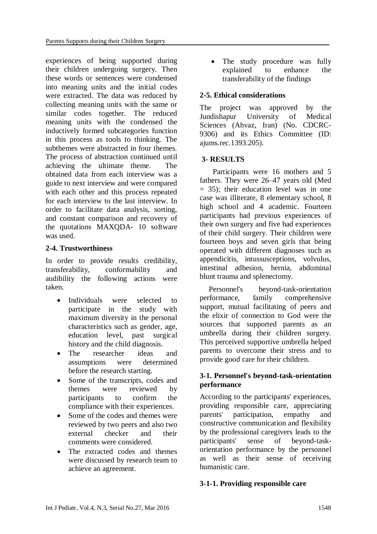experiences of being supported during their children undergoing surgery. Then these words or sentences were condensed into meaning units and the initial codes were extracted. The data was reduced by collecting meaning units with the same or similar codes together. The reduced meaning units with the condensed the inductively formed subcategories function in this process as tools to thinking. The subthemes were abstracted in four themes. The process of abstraction continued until achieving the ultimate theme. The obtained data from each interview was a guide to next interview and were compared with each other and this process repeated for each interview to the last interview. In order to facilitate data analysis, sorting, and constant comparison and recovery of the quotations MAXQDA- 10 software was used.

# **2-4. Trustworthiness**

In order to provide results credibility, transferability, conformability and audibility the following actions were taken.

- Individuals were selected to participate in the study with maximum diversity in the personal characteristics such as gender, age, education level, past surgical history and the child diagnosis.
- The researcher ideas and assumptions were determined before the research starting.
- Some of the transcripts, codes and themes were reviewed by participants to confirm the compliance with their experiences.
- Some of the codes and themes were reviewed by two peers and also two external checker and their comments were considered.
- The extracted codes and themes were discussed by research team to achieve an agreement.

• The study procedure was fully explained to enhance the transferability of the findings

# **2-5. Ethical considerations**

The project was approved by the Jundishapur University of Medical Sciences (Ahvaz, Iran) (No. CDCRC-9306) and its Ethics Committee (ID: ajums.rec.1393.205).

# **3- RESULTS**

 Participants were 16 mothers and 5 fathers. They were 26–47 years old (Med = 35); their education level was in one case was illiterate, 8 elementary school, 8 high school and 4 academic. Fourteen participants had previous experiences of their own surgery and five had experiences of their child surgery. Their children were fourteen boys and seven girls that being operated with different diagnoses such as appendicitis, intussusceptions, volvulus, intestinal adhesion, hernia, abdominal blunt trauma and splenectomy.

Personnel's beyond-task-orientation performance, family comprehensive support, mutual facilitating of peers and the elixir of connection to God were the sources that supported parents as an umbrella during their children surgery. This perceived supportive umbrella helped parents to overcome their stress and to provide good care for their children.

# **3-1. Personnel's beyond-task-orientation performance**

According to the participants' experiences, providing responsible care, appreciating parents' participation, empathy and constructive communication and flexibility by the professional caregivers leads to the participants' sense of beyond-taskorientation performance by the personnel as well as their sense of receiving humanistic care.

# **3-1-1. Providing responsible care**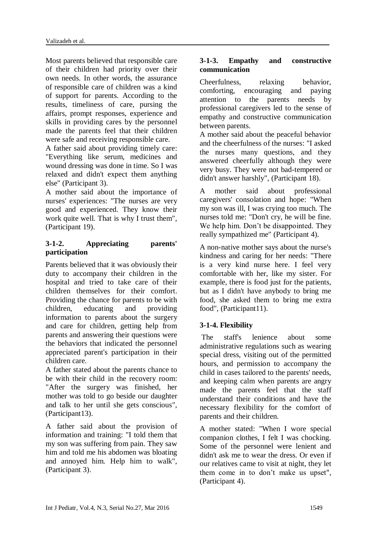Most parents believed that responsible care of their children had priority over their own needs. In other words, the assurance of responsible care of children was a kind of support for parents. According to the results, timeliness of care, pursing the affairs, prompt responses, experience and skills in providing cares by the personnel made the parents feel that their children were safe and receiving responsible care.

A father said about providing timely care: "Everything like serum, medicines and wound dressing was done in time. So I was relaxed and didn't expect them anything else" (Participant 3).

A mother said about the importance of nurses' experiences: "The nurses are very good and experienced. They know their work quite well. That is why I trust them", (Participant 19).

# **3-1-2. Appreciating parents' participation**

Parents believed that it was obviously their duty to accompany their children in the hospital and tried to take care of their children themselves for their comfort. Providing the chance for parents to be with children, educating and providing information to parents about the surgery and care for children, getting help from parents and answering their questions were the behaviors that indicated the personnel appreciated parent's participation in their children care.

A father stated about the parents chance to be with their child in the recovery room: "After the surgery was finished, her mother was told to go beside our daughter and talk to her until she gets conscious", (Participant13).

A father said about the provision of information and training: "I told them that my son was suffering from pain. They saw him and told me his abdomen was bloating and annoyed him. Help him to walk", (Participant 3).

# **3-1-3. Empathy and constructive communication**

Cheerfulness, relaxing behavior, comforting, encouraging and paying attention to the parents needs by professional caregivers led to the sense of empathy and constructive communication between parents.

A mother said about the peaceful behavior and the cheerfulness of the nurses: "I asked the nurses many questions, and they answered cheerfully although they were very busy. They were not bad-tempered or didn't answer harshly", (Participant 18).

A mother said about professional caregivers' consolation and hope: "When my son was ill, I was crying too much. The nurses told me: "Don't cry, he will be fine. We help him. Don't be disappointed. They really sympathized me" (Participant 4).

A non-native mother says about the nurse's kindness and caring for her needs: "There is a very kind nurse here. I feel very comfortable with her, like my sister. For example, there is food just for the patients, but as I didn't have anybody to bring me food, she asked them to bring me extra food", (Participant11).

# **3-1-4. Flexibility**

The staff's lenience about some administrative regulations such as wearing special dress, visiting out of the permitted hours, and permission to accompany the child in cases tailored to the parents' needs, and keeping calm when parents are angry made the parents feel that the staff understand their conditions and have the necessary flexibility for the comfort of parents and their children.

A mother stated: "When I wore special companion clothes, I felt I was chocking. Some of the personnel were lenient and didn't ask me to wear the dress. Or even if our relatives came to visit at night, they let them come in to don't make us upset", (Participant 4).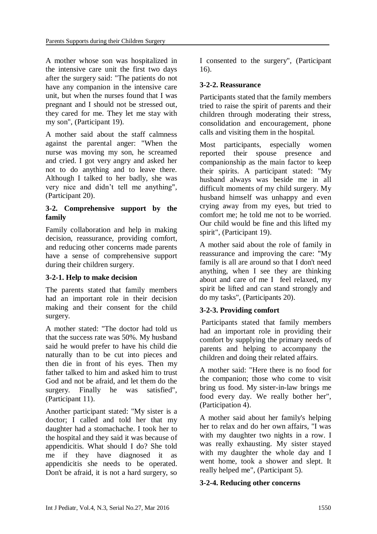A mother whose son was hospitalized in the intensive care unit the first two days after the surgery said: "The patients do not have any companion in the intensive care unit, but when the nurses found that I was pregnant and I should not be stressed out, they cared for me. They let me stay with my son", (Participant 19).

A mother said about the staff calmness against the parental anger: "When the nurse was moving my son, he screamed and cried. I got very angry and asked her not to do anything and to leave there. Although I talked to her badly, she was very nice and didn't tell me anything", (Participant 20).

# **3-2. Comprehensive support by the family**

Family collaboration and help in making decision, reassurance, providing comfort, and reducing other concerns made parents have a sense of comprehensive support during their children surgery.

# **3-2-1. Help to make decision**

The parents stated that family members had an important role in their decision making and their consent for the child surgery.

A mother stated: "The doctor had told us that the success rate was 50%. My husband said he would prefer to have his child die naturally than to be cut into pieces and then die in front of his eyes. Then my father talked to him and asked him to trust God and not be afraid, and let them do the surgery. Finally he was satisfied", (Participant 11).

Another participant stated: "My sister is a doctor; I called and told her that my daughter had a stomachache. I took her to the hospital and they said it was because of appendicitis. What should I do? She told me if they have diagnosed it as appendicitis she needs to be operated. Don't be afraid, it is not a hard surgery, so

I consented to the surgery", (Participant 16).

# **3-2-2. Reassurance**

Participants stated that the family members tried to raise the spirit of parents and their children through moderating their stress, consolidation and encouragement, phone calls and visiting them in the hospital.

Most participants, especially women reported their spouse presence and companionship as the main factor to keep their spirits. A participant stated: "My husband always was beside me in all difficult moments of my child surgery. My husband himself was unhappy and even crying away from my eyes, but tried to comfort me; he told me not to be worried. Our child would be fine and this lifted my spirit", (Participant 19).

A mother said about the role of family in reassurance and improving the care: "My family is all are around so that I don't need anything, when I see they are thinking about and care of me I feel relaxed, my spirit be lifted and can stand strongly and do my tasks", (Participants 20).

# **3-2-3. Providing comfort**

Participants stated that family members had an important role in providing their comfort by supplying the primary needs of parents and helping to accompany the children and doing their related affairs.

A mother said: "Here there is no food for the companion; those who come to visit bring us food. My sister-in-law brings me food every day. We really bother her", (Participation 4).

A mother said about her family's helping her to relax and do her own affairs, "I was with my daughter two nights in a row. I was really exhausting. My sister stayed with my daughter the whole day and I went home, took a shower and slept. It really helped me", (Participant 5).

# **3-2-4. Reducing other concerns**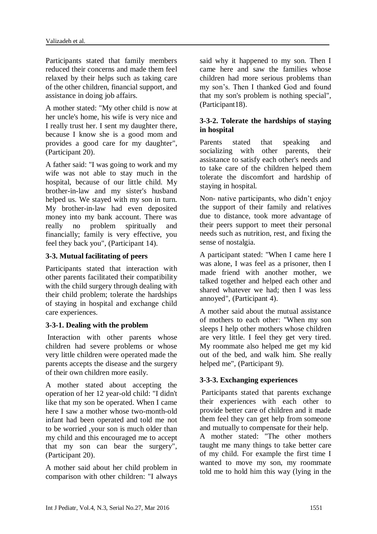Participants stated that family members reduced their concerns and made them feel relaxed by their helps such as taking care of the other children, financial support, and assistance in doing job affairs.

A mother stated: "My other child is now at her uncle's home, his wife is very nice and I really trust her. I sent my daughter there, because I know she is a good mom and provides a good care for my daughter", (Participant 20).

A father said: "I was going to work and my wife was not able to stay much in the hospital, because of our little child. My brother-in-law and my sister's husband helped us. We stayed with my son in turn. My brother-in-law had even deposited money into my bank account. There was really no problem spiritually and financially; family is very effective, you feel they back you", (Participant 14).

# **3-3. Mutual facilitating of peers**

Participants stated that interaction with other parents facilitated their compatibility with the child surgery through dealing with their child problem; tolerate the hardships of staying in hospital and exchange child care experiences.

# **3-3-1. Dealing with the problem**

Interaction with other parents whose children had severe problems or whose very little children were operated made the parents accepts the disease and the surgery of their own children more easily.

A mother stated about accepting the operation of her 12 year-old child: "I didn't like that my son be operated. When I came here I saw a mother whose two-month-old infant had been operated and told me not to be worried ,your son is much older than my child and this encouraged me to accept that my son can bear the surgery", (Participant 20).

A mother said about her child problem in comparison with other children: "I always said why it happened to my son. Then I came here and saw the families whose children had more serious problems than my son's. Then I thanked God and found that my son's problem is nothing special", (Participant18).

# **3-3-2. Tolerate the hardships of staying in hospital**

Parents stated that speaking and socializing with other parents, their assistance to satisfy each other's needs and to take care of the children helped them tolerate the discomfort and hardship of staying in hospital.

Non- native participants, who didn't enjoy the support of their family and relatives due to distance, took more advantage of their peers support to meet their personal needs such as nutrition, rest, and fixing the sense of nostalgia.

A participant stated: "When I came here I was alone, I was feel as a prisoner, then I made friend with another mother, we talked together and helped each other and shared whatever we had; then I was less annoyed", (Participant 4).

A mother said about the mutual assistance of mothers to each other: "When my son sleeps I help other mothers whose children are very little. I feel they get very tired. My roommate also helped me get my kid out of the bed, and walk him. She really helped me", (Participant 9).

# **3-3-3. Exchanging experiences**

Participants stated that parents exchange their experiences with each other to provide better care of children and it made them feel they can get help from someone and mutually to compensate for their help. A mother stated: "The other mothers taught me many things to take better care

of my child. For example the first time I wanted to move my son, my roommate told me to hold him this way (lying in the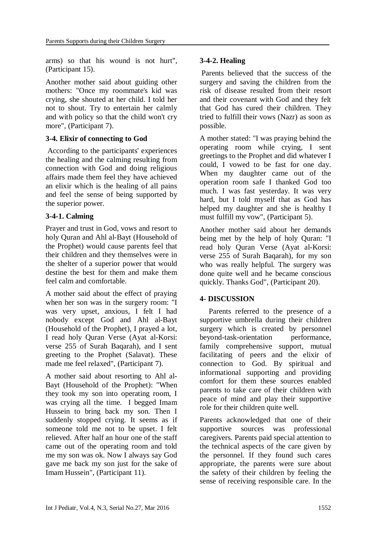arms) so that his wound is not hurt", (Participant 15).

Another mother said about guiding other mothers: "Once my roommate's kid was crying, she shouted at her child. I told her not to shout. Try to entertain her calmly and with policy so that the child won't cry more", (Participant 7).

#### **3-4. Elixir of connecting to God**

According to the participants' experiences the healing and the calming resulting from connection with God and doing religious affairs made them feel they have achieved an elixir which is the healing of all pains and feel the sense of being supported by the superior power.

# **3-4-1. Calming**

Prayer and trust in God, vows and resort to holy Quran and Ahl al-Bayt (Household of the Prophet) would cause parents feel that their children and they themselves were in the shelter of a superior power that would destine the best for them and make them feel calm and comfortable.

A mother said about the effect of praying when her son was in the surgery room: "I was very upset, anxious, I felt I had nobody except God and Ahl al-Bayt (Household of the Prophet), I prayed a lot, I read holy Quran Verse (Ayat al-Korsi: verse 255 of Surah [Baqarah\)](https://translate.googleusercontent.com/translate_c?depth=1&hl=en&prev=search&rurl=translate.google.com&sl=fa&u=https://fa.wikipedia.org/wiki/%25D8%25A8%25D9%2582%25D8%25B1%25D9%2587&usg=ALkJrhj6zAx0wf0CwrrRIaYfiIMo3cNdfQ), and I sent greeting to the Prophet (Salavat). These made me feel relaxed", (Participant 7).

A mother said about resorting to Ahl al-Bayt (Household of the Prophet): "When they took my son into operating room, I was crying all the time. I begged Imam Hussein to bring back my son. Then I suddenly stopped crying. It seems as if someone told me not to be upset. I felt relieved. After half an hour one of the staff came out of the operating room and told me my son was ok. Now I always say God gave me back my son just for the sake of Imam Hussein", (Participant 11).

# **3-4-2. Healing**

Parents believed that the success of the surgery and saving the children from the risk of disease resulted from their resort and their covenant with God and they felt that God has cured their children. They tried to fulfill their vows (Nazr) as soon as possible.

A mother stated: "I was praying behind the operating room while crying, I sent greetings to the Prophet and did whatever I could, I vowed to be fast for one day. When my daughter came out of the operation room safe I thanked God too much. I was fast yesterday. It was very hard, but I told myself that as God has helped my daughter and she is healthy I must fulfill my vow", (Participant 5).

Another mother said about her demands being met by the help of holy Quran: "I read holy Quran Verse (Ayat al-Korsi: verse 255 of Surah [Baqarah\)](https://translate.googleusercontent.com/translate_c?depth=1&hl=en&prev=search&rurl=translate.google.com&sl=fa&u=https://fa.wikipedia.org/wiki/%25D8%25A8%25D9%2582%25D8%25B1%25D9%2587&usg=ALkJrhj6zAx0wf0CwrrRIaYfiIMo3cNdfQ), for my son who was really helpful. The surgery was done quite well and he became conscious quickly. Thanks God", (Participant 20).

# **4- DISCUSSION**

Parents referred to the presence of a supportive umbrella during their children surgery which is created by personnel beyond-task-orientation performance, family comprehensive support, mutual facilitating of peers and the elixir of connection to God. By spiritual and informational supporting and providing comfort for them these sources enabled parents to take care of their children with peace of mind and play their supportive role for their children quite well.

Parents acknowledged that one of their supportive sources was professional caregivers. Parents paid special attention to the technical aspects of the care given by the personnel. If they found such cares appropriate, the parents were sure about the safety of their children by feeling the sense of receiving responsible care. In the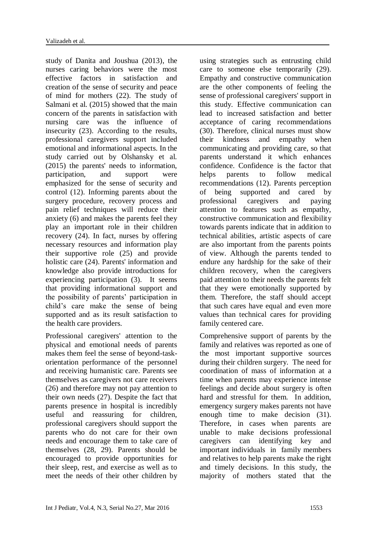study of Danita and Joushua (2013), the nurses caring behaviors were the most effective factors in satisfaction and creation of the sense of security and peace of mind for mothers (22). The study of Salmani et al. (2015) showed that the main concern of the parents in satisfaction with nursing care was the influence of insecurity (23). According to the results, professional caregivers support included emotional and informational aspects. In the study carried out by Olshansky et al. (2015) the parents' needs to information, participation, and support were emphasized for the sense of security and control (12). Informing parents about the surgery procedure, recovery process and pain relief techniques will reduce their anxiety (6) and makes the parents feel they play an important role in their children recovery (24). In fact, nurses by offering necessary resources and information play their supportive role (25) and provide holistic care (24). Parents' information and knowledge also provide introductions for experiencing participation (3). It seems that providing informational support and the possibility of parents' participation in child's care make the sense of being supported and as its result satisfaction to the health care providers.

Professional caregivers' attention to the physical and emotional needs of parents makes them feel the sense of beyond-taskorientation performance of the personnel and receiving humanistic care. Parents see themselves as caregivers not care receivers (26) and therefore may not pay attention to their own needs (27). Despite the fact that parents presence in hospital is incredibly useful and reassuring for children, professional caregivers should support the parents who do not care for their own needs and encourage them to take care of themselves (28, 29). Parents should be encouraged to provide opportunities for their sleep, rest, and exercise as well as to meet the needs of their other children by

using strategies such as entrusting child care to someone else temporarily (29). Empathy and constructive communication are the other components of feeling the sense of professional caregivers' support in this study. Effective communication can lead to increased satisfaction and better acceptance of caring recommendations (30). Therefore, clinical nurses must show their kindness and empathy when communicating and providing care, so that parents understand it which enhances confidence. Confidence is the factor that helps parents to follow medical recommendations (12). Parents perception of being supported and cared by professional caregivers and paying attention to features such as empathy, constructive communication and flexibility towards parents indicate that in addition to technical abilities, artistic aspects of care are also important from the parents points of view. Although the parents tended to endure any hardship for the sake of their children recovery, when the caregivers paid attention to their needs the parents felt that they were emotionally supported by them. Therefore, the staff should accept that such cares have equal and even more values than technical cares for providing family centered care.

Comprehensive support of parents by the family and relatives was reported as one of the most important supportive sources during their children surgery. The need for coordination of mass of information at a time when parents may experience intense feelings and decide about surgery is often hard and stressful for them. In addition, emergency surgery makes parents not have enough time to make decision (31). Therefore, in cases when parents are unable to make decisions professional caregivers can identifying key and important individuals in family members and relatives to help parents make the right and timely decisions. In this study, the majority of mothers stated that the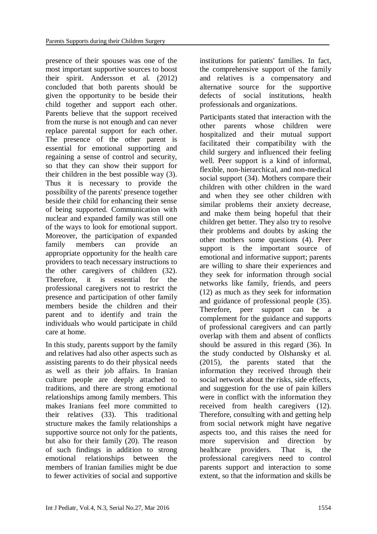presence of their spouses was one of the most important supportive sources to boost their spirit. Andersson et al. (2012) concluded that both parents should be given the opportunity to be beside their child together and support each other. Parents believe that the support received from the nurse is not enough and can never replace parental support for each other. The presence of the other parent is essential for emotional supporting and regaining a sense of control and security, so that they can show their support for their children in the best possible way (3). Thus it is necessary to provide the possibility of the parents' presence together beside their child for enhancing their sense of being supported. Communication with nuclear and expanded family was still one of the ways to look for emotional support. Moreover, the participation of expanded family members can provide an appropriate opportunity for the health care providers to teach necessary instructions to the other caregivers of children (32). Therefore, it is essential for the professional caregivers not to restrict the presence and participation of other family members beside the children and their parent and to identify and train the individuals who would participate in child care at home.

In this study, parents support by the family and relatives had also other aspects such as assisting parents to do their physical needs as well as their job affairs. In Iranian culture people are deeply attached to traditions, and there are strong emotional relationships among family members. This makes Iranians feel more committed to their relatives (33). This traditional structure makes the family relationships a supportive source not only for the patients, but also for their family (20). The reason of such findings in addition to strong emotional relationships between the members of Iranian families might be due to fewer activities of social and supportive institutions for patients' families. In fact, the comprehensive support of the family and relatives is a compensatory and alternative source for the supportive defects of social institutions, health professionals and organizations.

Participants stated that interaction with the other parents whose children were hospitalized and their mutual support facilitated their compatibility with the child surgery and influenced their feeling well. Peer support is a kind of informal, flexible, non-hierarchical, and non-medical social support (34). Mothers compare their children with other children in the ward and when they see other children with similar problems their anxiety decrease, and make them being hopeful that their children get better. They also try to resolve their problems and doubts by asking the other mothers some questions (4). Peer support is the important source of emotional and informative support; parents are willing to share their experiences and they seek for information through social networks like family, friends, and peers (12) as much as they seek for information and guidance of professional people (35). Therefore, peer support can be a complement for the guidance and supports of professional caregivers and can partly overlap with them and absent of conflicts should be assured in this regard (36). In the study conducted by Olshansky et al. (2015), the parents stated that the information they received through their social network about the risks, side effects, and suggestion for the use of pain killers were in conflict with the information they received from health caregivers (12). Therefore, consulting with and getting help from social network might have negative aspects too, and this raises the need for more supervision and direction by healthcare providers. That is, the professional caregivers need to control parents support and interaction to some extent, so that the information and skills be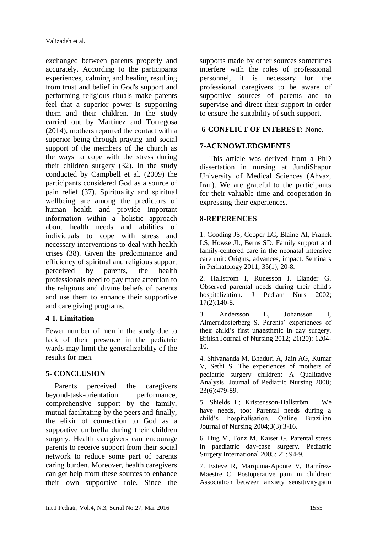exchanged between parents properly and accurately. According to the participants experiences, calming and healing resulting from trust and belief in God's support and performing religious rituals make parents feel that a superior power is supporting them and their children. In the study carried out by Martinez and Torregosa (2014), mothers reported the contact with a superior being through praying and social support of the members of the church as the ways to cope with the stress during their children surgery (32). In the study conducted by Campbell et al. (2009) the participants considered God as a source of pain relief (37). Spirituality and spiritual wellbeing are among the predictors of human health and provide important information within a holistic approach about health needs and abilities of individuals to cope with stress and necessary interventions to deal with health crises (38). Given the predominance and efficiency of spiritual and religious support perceived by parents, the health professionals need to pay more attention to the religious and divine beliefs of parents and use them to enhance their supportive and care giving programs.

# **4-1. Limitation**

Fewer number of men in the study due to lack of their presence in the pediatric wards may limit the generalizability of the results for men.

# **5- CONCLUSION**

Parents perceived the caregivers beyond-task-orientation performance, comprehensive support by the family, mutual facilitating by the peers and finally, the elixir of connection to God as a supportive umbrella during their children surgery. Health caregivers can encourage parents to receive support from their social network to reduce some part of parents caring burden. Moreover, health caregivers can get help from these sources to enhance their own supportive role. Since the supports made by other sources sometimes interfere with the roles of professional personnel, it is necessary for the professional caregivers to be aware of supportive sources of parents and to supervise and direct their support in order to ensure the suitability of such support.

# **6-CONFLICT OF INTEREST:** None.

#### **7-ACKNOWLEDGMENTS**

This article was derived from a PhD dissertation in nursing at JundiShapur University of Medical Sciences (Ahvaz, Iran). We are grateful to the participants for their valuable time and cooperation in expressing their experiences.

#### **8-REFERENCES**

1. Gooding JS, Cooper LG, Blaine AI, Franck LS, Howse JL, Berns SD. Family support and family-centered care in the neonatal intensive care unit: Origins, advances, impact. Seminars in Perinatology 2011; 35(1), 20-8.

2. Hallstrom I, Runesson I, Elander G. Observed parental needs during their child's hospitalization. J Pediatr Nurs 2002; 17(2):140-8.

3. Andersson L, Johansson I, Almerudosterberg S. Parents' experiences of their child's first unaesthetic in day surgery. British Journal of Nursing 2012; 21(20): 1204- 10.

4. Shivananda M, Bhaduri A, Jain AG, Kumar V, Sethi S. The experiences of mothers of pediatric surgery children: A Qualitative Analysis. Journal of Pediatric Nursing 2008; 23(6):479-89.

5. Shields L; Kristensson-Hallström I. We have needs, too: Parental needs during a child's hospitalisation. Online Brazilian Journal of Nursing 2004;3(3):3-16.

6. Hug M, Tonz M, Kaiser G. Parental stress in paediatric day-case surgery. Pediatric Surgery International 2005; 21: 94-9.

7. Esteve R, Marquina-Aponte V, Ramírez-Maestre C. Postoperative pain in children: Association between anxiety sensitivity,pain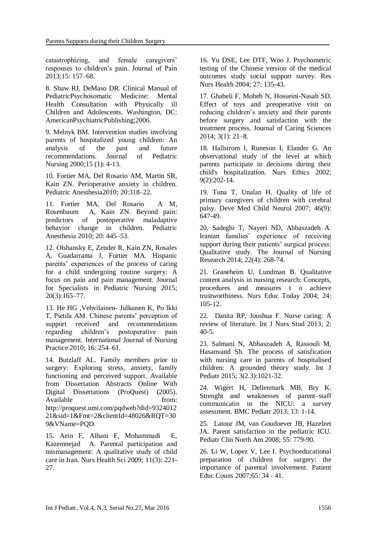catastrophizing, and female caregivers' responses to children's pain. Journal of Pain 2013;15: 157–68.

8. Shaw RJ, DeMaso DR. Clinical Manual of PediatricPsychosomatic Medicine: Mental Health Consultation with Physically ill Children and Adolescents. Washington, DC: AmericanPsychiatricPublishing;2006.

9. Melnyk BM. Intervention studies involving parents of hospitalized young children: An analysis of the past and future recommendations. Journal of Pediatric Nursing 2000;15 (1): 4-13.

10. Fortier MA, Del Rosario AM, Martin SR, Kain ZN. Perioperative anxiety in children. Pediatric Anesthesia2010; 20:318–22.

11. Fortier MA, Del Rosario A M, Rosenbaum A, Kain ZN. Beyond pain: predictors of postoperative maladaptive behavior change in children. Pediatric Anesthesia 2010; 20: 445–53.

12. Olshansky E, Zender R, Kain ZN, Rosales A, Guadarrama J, Fortier MA. Hispanic parents' experiences of the process of caring for a child undergoing routine surgery: A focus on pain and pain management. Journal for Specialists in Pediatric Nursing 2015[;](http://onlinelibrary.wiley.com/doi/10.1111/jspn.2015.20.issue-3/issuetoc) [20\(3\):](http://onlinelibrary.wiley.com/doi/10.1111/jspn.2015.20.issue-3/issuetoc)165–77.

13. He HG ,Vehvilainen- Julkunen K, Po lkki T, Pietila AM. Chinese parents' perception of support received and recommendations regarding children's postoperative pain management. International Journal of Nursing Practice 2010; 16: 254–61.

14. Butzlaff AL. Family members prior to surgery: Exploring stress, anxiety, family functioning and perceived support. Available from Dissertation Abstracts Online With Digital Dissertations (ProQuest) (2005). Available from: http://proquest.umi.com/pqdweb?did=9324012 21&sid=1&Fmt=2&clientId=48026&RQT=30 9&VName=PQD.

15. Aein F, Alhani F, Mohammadi E, Kazemnejad A. Parental participation and mismanagement: A qualitative study of child care in Iran. Nurs Health Sci 2009; 11(3): 221- 27.

16. Yu DSE, Lee DTF, Woo J. Psychometric testing of the Chinese version of the medical outcomes study social support survey. Res Nurs Health 2004; 27: 135-43.

17. Ghabeli F, Moheb N, Hosseini-Nasab SD. Effect of toys and preoperative visit on reducing children's anxiety and their parents before surgery and satisfaction with the treatment process. Journal of Caring Sciences 2014; 3(1): 21–8.

18. Hallstrom I, Runeson I, Elander G. An observational study of the level at which parents participate in decisions during their child's hospitalization. Nurs Ethics 2002; 9(2):202-14.

19. Tuna T, Unalan H. Quality of life of primary caregivers of children with cerebral palsy. Deve Med Child Neurol 2007; 46(9): 647-49.

20. Sadeghi T, Nayeri ND, Abbaszadeh A. Iranian families' experience of receiving support during their patients' surgical process: Qualitative study. The Journal of Nursing Research 2014; 22(4): 268-74.

21. Graneheim U, Lundman B. Qualitative content analysis in nursing research: Concepts, procedures and measures t o achieve trustworthiness. Nurs Educ Today 2004; 24: 105-12.

22. Danita RP, Joushua F. Nurse caring: A review of literature. Int J Nurs Stud 2013; 2:  $40-5$ .

23. Salmani N, Abbaszadeh A, Rassouli M, Hasanvand Sh. The process of satisfication with nursing care in parents of hospitalised children: A grounded theory study. Int J Pediatr 2015; 3(2.3):1021-32.

24. Wigert H, Dellenmark MB, Bry K. Strenght and weaknesses of parent–staff communicatin in the NICU: a survey assessment. BMC Pediatr 2013; 13: 1-14.

25. Latour JM, van Goudoever JB, Hazelzet JA. Parent satisfaction in the pediatric ICU. Pediatr Clin North Am 2008; 55: 779-90.

26. Li W, Lopez V, Lee I. Psychoeducational preparation of children for surgery: the importance of parental involvement. Patient Educ Couns 2007;65: 34 - 41.